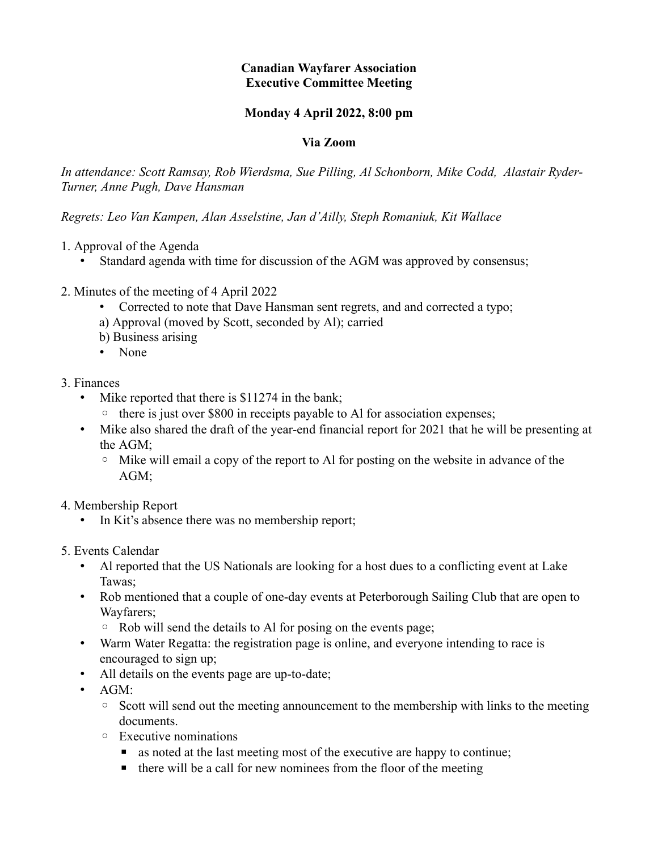# **Canadian Wayfarer Association Executive Committee Meeting**

### **Monday 4 April 2022, 8:00 pm**

#### **Via Zoom**

*In attendance: Scott Ramsay, Rob Wierdsma, Sue Pilling, Al Schonborn, Mike Codd, Alastair Ryder-Turner, Anne Pugh, Dave Hansman*

*Regrets: Leo Van Kampen, Alan Asselstine, Jan d'Ailly, Steph Romaniuk, Kit Wallace*

- 1. Approval of the Agenda
	- Standard agenda with time for discussion of the AGM was approved by consensus;
- 2. Minutes of the meeting of 4 April 2022
	- Corrected to note that Dave Hansman sent regrets, and and corrected a typo;
	- a) Approval (moved by Scott, seconded by Al); carried
	- b) Business arising
	- None

#### 3. Finances

- Mike reported that there is \$11274 in the bank;
	- there is just over \$800 in receipts payable to Al for association expenses;
- Mike also shared the draft of the year-end financial report for 2021 that he will be presenting at the AGM;
	- Mike will email a copy of the report to Al for posting on the website in advance of the AGM;
- 4. Membership Report
	- In Kit's absence there was no membership report;
- 5. Events Calendar
	- Al reported that the US Nationals are looking for a host dues to a conflicting event at Lake Tawas;
	- Rob mentioned that a couple of one-day events at Peterborough Sailing Club that are open to Wayfarers;
		- Rob will send the details to Al for posing on the events page;
	- Warm Water Regatta: the registration page is online, and everyone intending to race is encouraged to sign up;
	- All details on the events page are up-to-date;
	- AGM:
		- Scott will send out the meeting announcement to the membership with links to the meeting documents.
		- Executive nominations
			- as noted at the last meeting most of the executive are happy to continue;
			- $\blacksquare$  there will be a call for new nominees from the floor of the meeting